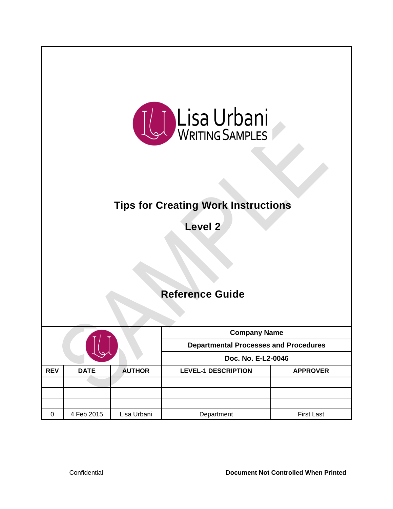

# **Tips for Creating Work Instructions**

**Level 2**

## **Reference Guide**

|            |                              |             | <b>Company Name</b><br><b>Departmental Processes and Procedures</b><br>Doc. No. E-L2-0046 |                   |  |  |
|------------|------------------------------|-------------|-------------------------------------------------------------------------------------------|-------------------|--|--|
| <b>REV</b> | <b>AUTHOR</b><br><b>DATE</b> |             | <b>LEVEL-1 DESCRIPTION</b>                                                                | <b>APPROVER</b>   |  |  |
|            |                              |             |                                                                                           |                   |  |  |
|            |                              |             |                                                                                           |                   |  |  |
| $\Omega$   | 4 Feb 2015                   | Lisa Urbani | Department                                                                                | <b>First Last</b> |  |  |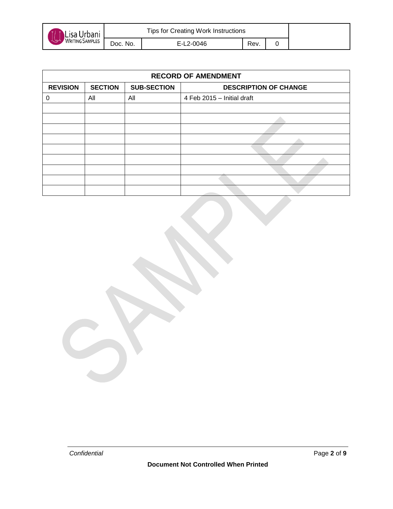

| <b>RECORD OF AMENDMENT</b> |                |                    |                              |  |  |  |
|----------------------------|----------------|--------------------|------------------------------|--|--|--|
| <b>REVISION</b>            | <b>SECTION</b> | <b>SUB-SECTION</b> | <b>DESCRIPTION OF CHANGE</b> |  |  |  |
| 0                          | All            | All                | 4 Feb 2015 - Initial draft   |  |  |  |
|                            |                |                    |                              |  |  |  |
|                            |                |                    |                              |  |  |  |
|                            |                |                    |                              |  |  |  |
|                            |                |                    |                              |  |  |  |
|                            |                |                    |                              |  |  |  |
|                            |                |                    |                              |  |  |  |
|                            |                |                    |                              |  |  |  |
|                            |                |                    |                              |  |  |  |
|                            |                |                    |                              |  |  |  |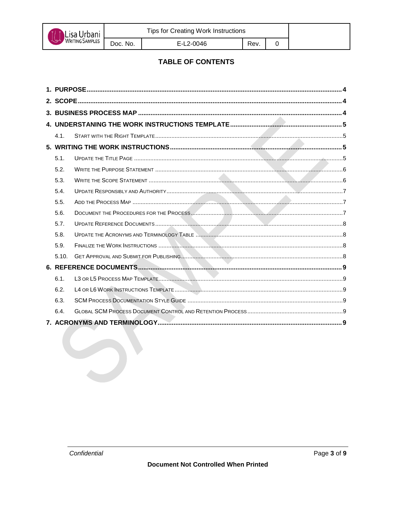

E-L2-0046

 $\mathbf 0$ 

#### **TABLE OF CONTENTS**

| 4.1.  |  |  |  |  |  |  |
|-------|--|--|--|--|--|--|
|       |  |  |  |  |  |  |
| 5.1.  |  |  |  |  |  |  |
| 5.2.  |  |  |  |  |  |  |
| 5.3.  |  |  |  |  |  |  |
| 5.4.  |  |  |  |  |  |  |
| 5.5.  |  |  |  |  |  |  |
| 5.6.  |  |  |  |  |  |  |
| 5.7.  |  |  |  |  |  |  |
| 5.8.  |  |  |  |  |  |  |
| 5.9.  |  |  |  |  |  |  |
| 5.10. |  |  |  |  |  |  |
|       |  |  |  |  |  |  |
| 6.1.  |  |  |  |  |  |  |
| 6.2.  |  |  |  |  |  |  |
| 6.3.  |  |  |  |  |  |  |
| 6.4.  |  |  |  |  |  |  |
|       |  |  |  |  |  |  |
|       |  |  |  |  |  |  |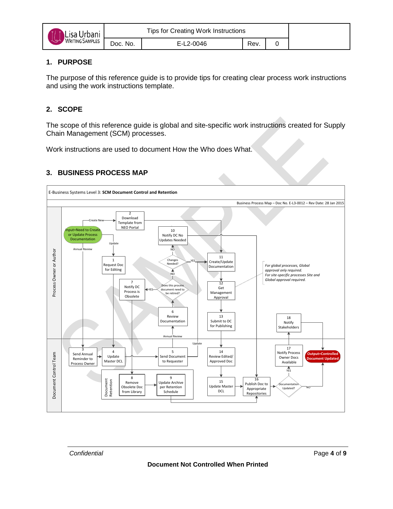| Lisa Urbani                   | <b>Tips for Creating Work Instructions</b> |           |      |  |  |
|-------------------------------|--------------------------------------------|-----------|------|--|--|
| <b>WRITING SAMPLES</b><br>مهي | Doc. No.                                   | E-L2-0046 | Rev. |  |  |

#### <span id="page-3-0"></span>**1. PURPOSE**

The purpose of this reference guide is to provide tips for creating clear process work instructions and using the work instructions template.

## <span id="page-3-1"></span>**2. SCOPE**

The scope of this reference guide is global and site-specific work instructions created for Supply Chain Management (SCM) processes.

Work instructions are used to document How the Who does What.

#### <span id="page-3-2"></span>**3. BUSINESS PROCESS MAP**

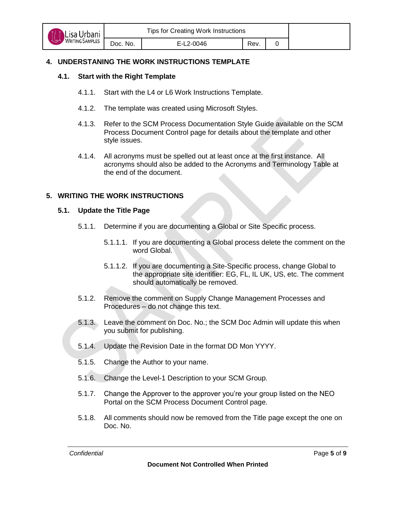

## <span id="page-4-1"></span><span id="page-4-0"></span>**4. UNDERSTANING THE WORK INSTRUCTIONS TEMPLATE**

## **4.1. Start with the Right Template**

- 4.1.1. Start with the L4 or L6 Work Instructions Template.
- 4.1.2. The template was created using Microsoft Styles.
- 4.1.3. Refer to the SCM Process Documentation Style Guide available on the SCM Process Document Control page for details about the template and other style issues.
- 4.1.4. All acronyms must be spelled out at least once at the first instance. All acronyms should also be added to the Acronyms and Terminology Table at the end of the document.

## <span id="page-4-3"></span><span id="page-4-2"></span>**5. WRITING THE WORK INSTRUCTIONS**

## **5.1. Update the Title Page**

- 5.1.1. Determine if you are documenting a Global or Site Specific process.
	- 5.1.1.1. If you are documenting a Global process delete the comment on the word Global.
	- 5.1.1.2. If you are documenting a Site-Specific process, change Global to the appropriate site identifier: EG, FL, IL UK, US, etc. The comment should automatically be removed.
- 5.1.2. Remove the comment on Supply Change Management Processes and Procedures – do not change this text.
- 5.1.3. Leave the comment on Doc. No.; the SCM Doc Admin will update this when you submit for publishing.
- 5.1.4. Update the Revision Date in the format DD Mon YYYY.
- 5.1.5. Change the Author to your name.
- 5.1.6. Change the Level-1 Description to your SCM Group.
- 5.1.7. Change the Approver to the approver you're your group listed on the NEO Portal on the SCM Process Document Control page.
- 5.1.8. All comments should now be removed from the Title page except the one on Doc. No.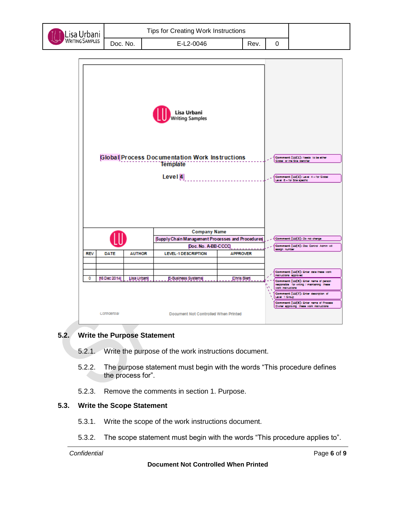

| J VVOIK INSUUCIIONS |      |  |  |
|---------------------|------|--|--|
| 0046                | Rev. |  |  |
|                     |      |  |  |

|            |                                                                 |  | Global Process Documentation Work Instructions   |                 |  | Comment [LU(1]: Nexts to be either<br>Global or the Site identifier                                                                       |
|------------|-----------------------------------------------------------------|--|--------------------------------------------------|-----------------|--|-------------------------------------------------------------------------------------------------------------------------------------------|
|            |                                                                 |  | <b>Template</b>                                  |                 |  |                                                                                                                                           |
|            |                                                                 |  | Level $ 4 $                                      |                 |  | Comment [LU(2]: Level 4-for Global<br>Level 6 - for Site specific                                                                         |
|            |                                                                 |  |                                                  |                 |  |                                                                                                                                           |
|            |                                                                 |  | <b>Company Name</b>                              |                 |  |                                                                                                                                           |
|            |                                                                 |  | Supply Chain Management Processes and Procedures |                 |  | Comment [LU(3]: Do not change                                                                                                             |
|            |                                                                 |  | Doc. No. A-BB-CCCC                               |                 |  | Comment [LU(4]: Doc Control Admin will<br>sasign number                                                                                   |
| <b>REV</b> | <b>DATE</b><br><b>AUTHOR</b>                                    |  | <b>LEVEL-1 DESCRIPTION</b>                       | <b>APPROVER</b> |  |                                                                                                                                           |
|            |                                                                 |  |                                                  |                 |  |                                                                                                                                           |
|            |                                                                 |  |                                                  |                 |  | Comment [LU(3]: Enter date these work<br>instructions approved                                                                            |
| ٥          | 16 Dec 2014<br>Lisa Urbanij<br>E-Business Systems<br>Chris Bien |  |                                                  |                 |  | Comment [LU(6]: Enter name of parson<br>responsible for writing / maintaining these<br>work instructions                                  |
|            |                                                                 |  |                                                  |                 |  | Comment [LU(7]: Enter description of<br>Level 1 Group<br>Comment [LU(S]: Enter name of Process<br>Owner approving these work instructions |
|            | connoensal<br>Document Not Controlled When Printed              |  |                                                  |                 |  |                                                                                                                                           |

#### <span id="page-5-0"></span>**5.2. Write the Purpose Statement**

- 5.2.1. Write the purpose of the work instructions document.
- 5.2.2. The purpose statement must begin with the words "This procedure defines the process for".
- 5.2.3. Remove the comments in section 1. Purpose.

#### <span id="page-5-1"></span>**5.3. Write the Scope Statement**

- 5.3.1. Write the scope of the work instructions document.
- 5.3.2. The scope statement must begin with the words "This procedure applies to".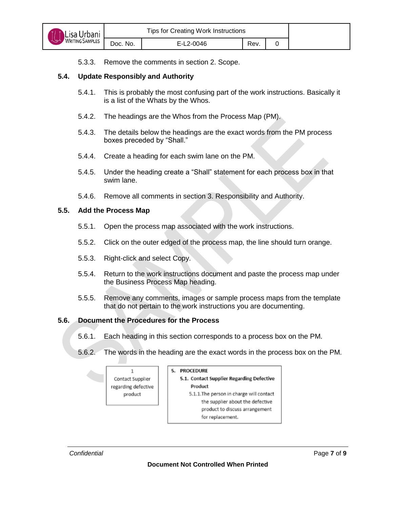5.3.3. Remove the comments in section 2. Scope.

#### <span id="page-6-0"></span>**5.4. Update Responsibly and Authority**

- 5.4.1. This is probably the most confusing part of the work instructions. Basically it is a list of the Whats by the Whos.
- 5.4.2. The headings are the Whos from the Process Map (PM).
- 5.4.3. The details below the headings are the exact words from the PM process boxes preceded by "Shall."
- 5.4.4. Create a heading for each swim lane on the PM.
- 5.4.5. Under the heading create a "Shall" statement for each process box in that swim lane.
- 5.4.6. Remove all comments in section 3. Responsibility and Authority.

#### <span id="page-6-1"></span>**5.5. Add the Process Map**

- 5.5.1. Open the process map associated with the work instructions.
- 5.5.2. Click on the outer edged of the process map, the line should turn orange.
- 5.5.3. Right-click and select Copy.
- 5.5.4. Return to the work instructions document and paste the process map under the Business Process Map heading.
- 5.5.5. Remove any comments, images or sample process maps from the template that do not pertain to the work instructions you are documenting.

#### <span id="page-6-2"></span>**5.6. Document the Procedures for the Process**

- 5.6.1. Each heading in this section corresponds to a process box on the PM.
- 5.6.2. The words in the heading are the exact words in the process box on the PM.

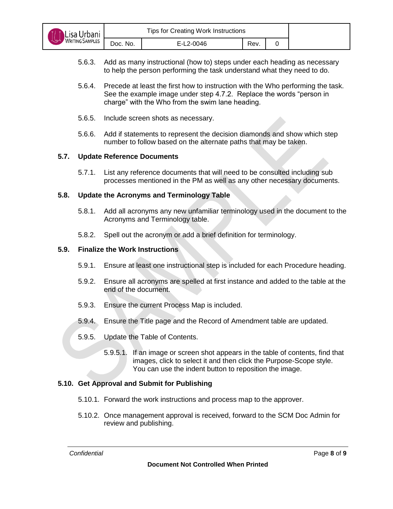| Lisa Urbani           | Tips for Creating Work Instructions |           |      |  |  |
|-----------------------|-------------------------------------|-----------|------|--|--|
| WRITING SAMPLES<br>٨ؼ | Doc. No.                            | E-L2-0046 | Rev. |  |  |

- 5.6.3. Add as many instructional (how to) steps under each heading as necessary to help the person performing the task understand what they need to do.
- 5.6.4. Precede at least the first how to instruction with the Who performing the task. See the example image under step 4.7.2. Replace the words "person in charge" with the Who from the swim lane heading.
- 5.6.5. Include screen shots as necessary.
- 5.6.6. Add if statements to represent the decision diamonds and show which step number to follow based on the alternate paths that may be taken.

#### <span id="page-7-0"></span>**5.7. Update Reference Documents**

5.7.1. List any reference documents that will need to be consulted including sub processes mentioned in the PM as well as any other necessary documents.

#### <span id="page-7-1"></span>**5.8. Update the Acronyms and Terminology Table**

- 5.8.1. Add all acronyms any new unfamiliar terminology used in the document to the Acronyms and Terminology table.
- 5.8.2. Spell out the acronym or add a brief definition for terminology.

#### <span id="page-7-2"></span>**5.9. Finalize the Work Instructions**

- 5.9.1. Ensure at least one instructional step is included for each Procedure heading.
- 5.9.2. Ensure all acronyms are spelled at first instance and added to the table at the end of the document.
- 5.9.3. Ensure the current Process Map is included.
- 5.9.4. Ensure the Title page and the Record of Amendment table are updated.
- 5.9.5. Update the Table of Contents.
	- 5.9.5.1. If an image or screen shot appears in the table of contents, find that images, click to select it and then click the Purpose-Scope style. You can use the indent button to reposition the image.

#### <span id="page-7-3"></span>**5.10. Get Approval and Submit for Publishing**

- 5.10.1. Forward the work instructions and process map to the approver.
- 5.10.2. Once management approval is received, forward to the SCM Doc Admin for review and publishing.